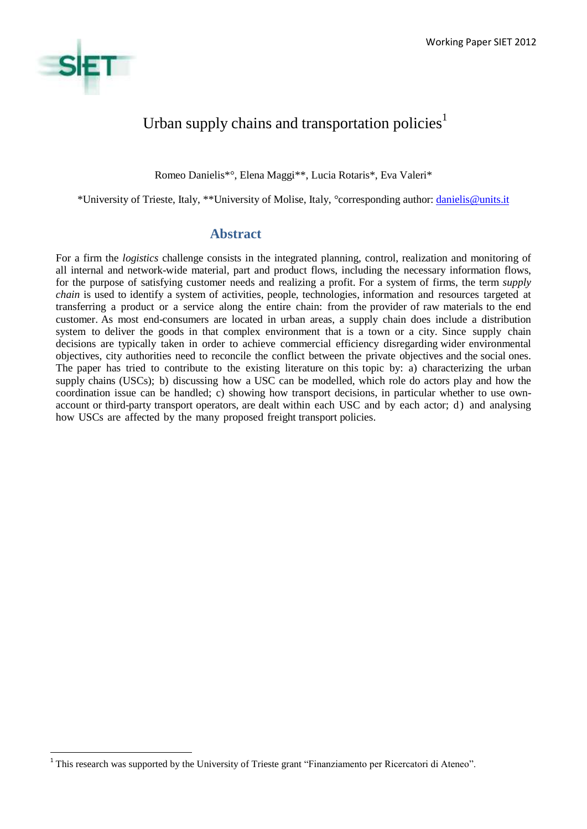

**.** 

# Urban supply chains and transportation policies<sup>1</sup>

Romeo Danielis\*°, Elena Maggi\*\*, Lucia Rotaris\*, Eva Valeri\*

\*University of Trieste, Italy, \*\*University of Molise, Italy, °corresponding author: [danielis@units.it](mailto:danielis@units.it)

### **Abstract**

For a firm the *logistics* challenge consists in the integrated planning, control, realization and monitoring of all internal and network-wide material, part and product flows, including the necessary information flows, for the purpose of satisfying customer needs and realizing a profit. For a system of firms, the term *supply chain* is used to identify a system of activities, people, technologies, information and resources targeted at transferring a product or a service along the entire chain: from the provider of raw materials to the end customer. As most end-consumers are located in urban areas, a supply chain does include a distribution system to deliver the goods in that complex environment that is a town or a city. Since supply chain decisions are typically taken in order to achieve commercial efficiency disregarding wider environmental objectives, city authorities need to reconcile the conflict between the private objectives and the social ones. The paper has tried to contribute to the existing literature on this topic by: a) characterizing the urban supply chains (USCs); b) discussing how a USC can be modelled, which role do actors play and how the coordination issue can be handled; c) showing how transport decisions, in particular whether to use ownaccount or third-party transport operators, are dealt within each USC and by each actor; d) and analysing how USCs are affected by the many proposed freight transport policies.

<sup>&</sup>lt;sup>1</sup> This research was supported by the University of Trieste grant "Finanziamento per Ricercatori di Ateneo".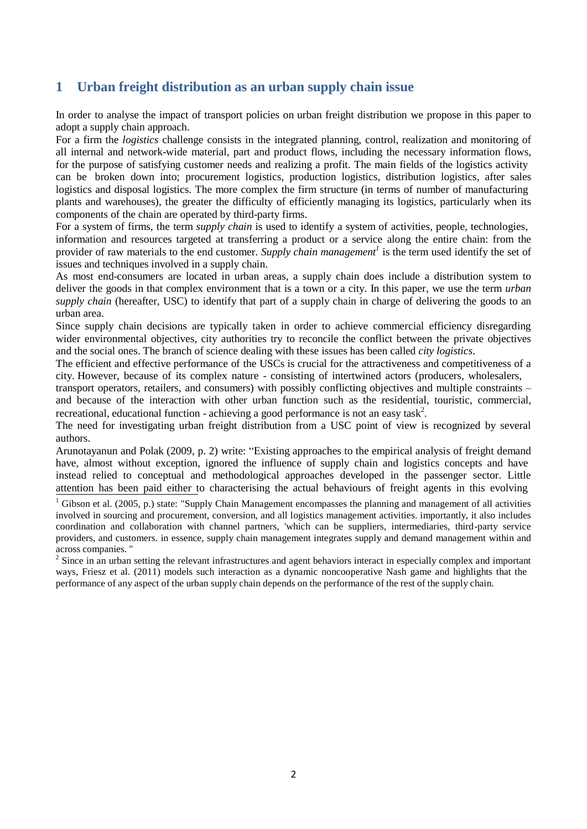### **1 Urban freight distribution as an urban supply chain issue**

In order to analyse the impact of transport policies on urban freight distribution we propose in this paper to adopt a supply chain approach.

For a firm the *logistics* challenge consists in the integrated planning, control, realization and monitoring of all internal and network-wide material, part and product flows, including the necessary information flows, for the purpose of satisfying customer needs and realizing a profit. The main fields of the logistics activity can be broken down into; procurement logistics, production logistics, distribution logistics, after sales logistics and disposal logistics. The more complex the firm structure (in terms of number of manufacturing plants and warehouses), the greater the difficulty of efficiently managing its logistics, particularly when its components of the chain are operated by third-party firms.

For a system of firms, the term *supply chain* is used to identify a system of activities, people, technologies, information and resources targeted at transferring a product or a service along the entire chain: from the provider of raw materials to the end customer. *Supply chain management 1* is the term used identify the set of issues and techniques involved in a supply chain.

As most end-consumers are located in urban areas, a supply chain does include a distribution system to deliver the goods in that complex environment that is a town or a city. In this paper, we use the term *urban supply chain* (hereafter, USC) to identify that part of a supply chain in charge of delivering the goods to an urban area.

Since supply chain decisions are typically taken in order to achieve commercial efficiency disregarding wider environmental objectives, city authorities try to reconcile the conflict between the private objectives and the social ones. The branch of science dealing with these issues has been called *city logistics*.

The efficient and effective performance of the USCs is crucial for the attractiveness and competitiveness of a city. However, because of its complex nature - consisting of intertwined actors (producers, wholesalers,

transport operators, retailers, and consumers) with possibly conflicting objectives and multiple constraints – and because of the interaction with other urban function such as the residential, touristic, commercial, recreational, educational function - achieving a good performance is not an easy task<sup>2</sup>.

The need for investigating urban freight distribution from a USC point of view is recognized by several authors.

Arunotayanun and Polak (2009, p. 2) write: "Existing approaches to the empirical analysis of freight demand have, almost without exception, ignored the influence of supply chain and logistics concepts and have instead relied to conceptual and methodological approaches developed in the passenger sector. Little attention has been paid either to characterising the actual behaviours of freight agents in this evolving

<sup>1</sup> Gibson et al. (2005, p.) state: "Supply Chain Management encompasses the planning and management of all activities involved in sourcing and procurement, conversion, and all logistics management activities. importantly, it also includes coordination and collaboration with channel partners, 'which can be suppliers, intermediaries, third-party service providers, and customers. in essence, supply chain management integrates supply and demand management within and across companies. "

 $2^{2}$  Since in an urban setting the relevant infrastructures and agent behaviors interact in especially complex and important ways, Friesz et al. (2011) models such interaction as a dynamic noncooperative Nash game and highlights that the performance of any aspect of the urban supply chain depends on the performance of the rest of the supply chain.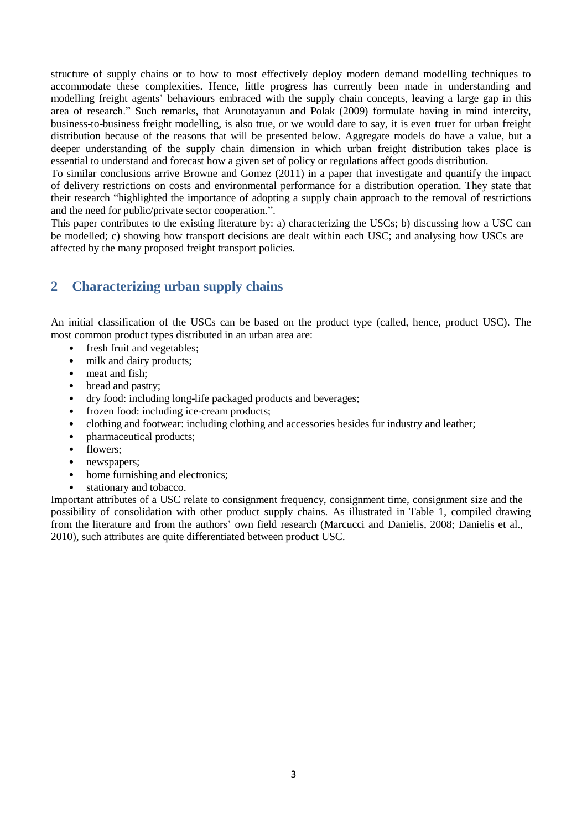structure of supply chains or to how to most effectively deploy modern demand modelling techniques to accommodate these complexities. Hence, little progress has currently been made in understanding and modelling freight agents' behaviours embraced with the supply chain concepts, leaving a large gap in this area of research." Such remarks, that Arunotayanun and Polak (2009) formulate having in mind intercity, business-to-business freight modelling, is also true, or we would dare to say, it is even truer for urban freight distribution because of the reasons that will be presented below. Aggregate models do have a value, but a deeper understanding of the supply chain dimension in which urban freight distribution takes place is essential to understand and forecast how a given set of policy or regulations affect goods distribution.

To similar conclusions arrive Browne and Gomez (2011) in a paper that investigate and quantify the impact of delivery restrictions on costs and environmental performance for a distribution operation. They state that their research "highlighted the importance of adopting a supply chain approach to the removal of restrictions and the need for public/private sector cooperation.".

This paper contributes to the existing literature by: a) characterizing the USCs; b) discussing how a USC can be modelled; c) showing how transport decisions are dealt within each USC; and analysing how USCs are affected by the many proposed freight transport policies.

## **2 Characterizing urban supply chains**

An initial classification of the USCs can be based on the product type (called, hence, product USC). The most common product types distributed in an urban area are:

- fresh fruit and vegetables;
- milk and dairy products;
- meat and fish;
- bread and pastry;
- dry food: including long-life packaged products and beverages;
- frozen food: including ice-cream products;
- clothing and footwear: including clothing and accessories besides fur industry and leather;
- pharmaceutical products;
- flowers;
- newspapers;
- home furnishing and electronics;
- stationary and tobacco.

Important attributes of a USC relate to consignment frequency, consignment time, consignment size and the possibility of consolidation with other product supply chains. As illustrated in Table 1, compiled drawing from the literature and from the authors' own field research (Marcucci and Danielis, 2008; Danielis et al., 2010), such attributes are quite differentiated between product USC.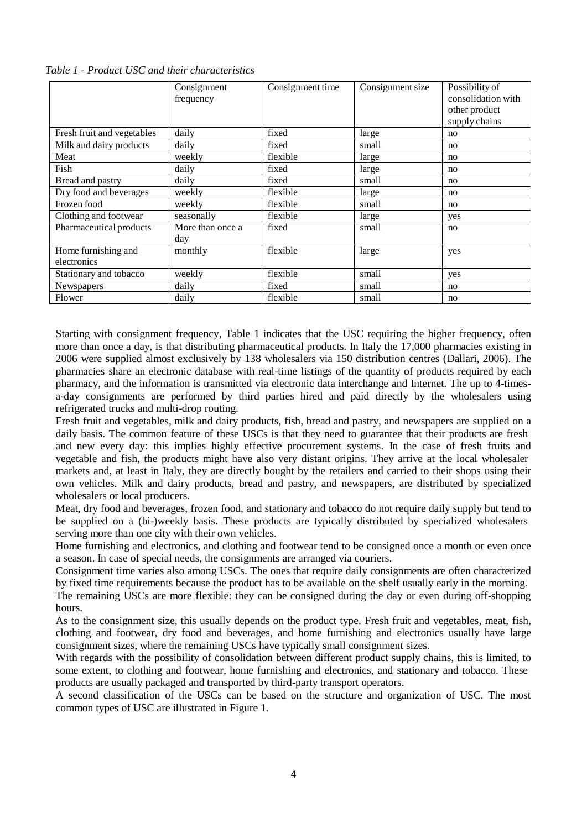| Table 1 - Product USC and their characteristics |  |  |
|-------------------------------------------------|--|--|
|-------------------------------------------------|--|--|

|                                    | Consignment<br>frequency | Consignment time | Consignment size | Possibility of<br>consolidation with<br>other product<br>supply chains |
|------------------------------------|--------------------------|------------------|------------------|------------------------------------------------------------------------|
| Fresh fruit and vegetables         | daily                    | fixed            | large            | no                                                                     |
| Milk and dairy products            | daily                    | fixed            | small            | no                                                                     |
| Meat                               | weekly                   | flexible         | large            | no                                                                     |
| Fish                               | daily                    | fixed            | large            | no                                                                     |
| Bread and pastry                   | daily                    | fixed            | small            | no                                                                     |
| Dry food and beverages             | weekly                   | flexible         | large            | no                                                                     |
| Frozen food                        | weekly                   | flexible         | small            | no                                                                     |
| Clothing and footwear              | seasonally               | flexible         | large            | yes                                                                    |
| Pharmaceutical products            | More than once a<br>day  | fixed            | small            | no                                                                     |
| Home furnishing and<br>electronics | monthly                  | flexible         | large            | yes                                                                    |
| Stationary and tobacco             | weekly                   | flexible         | small            | yes                                                                    |
| Newspapers                         | daily                    | fixed            | small            | no                                                                     |
| Flower                             | daily                    | flexible         | small            | no                                                                     |

Starting with consignment frequency, Table 1 indicates that the USC requiring the higher frequency, often more than once a day, is that distributing pharmaceutical products. In Italy the 17,000 pharmacies existing in 2006 were supplied almost exclusively by 138 wholesalers via 150 distribution centres (Dallari, 2006). The pharmacies share an electronic database with real-time listings of the quantity of products required by each pharmacy, and the information is transmitted via electronic data interchange and Internet. The up to 4-timesa-day consignments are performed by third parties hired and paid directly by the wholesalers using refrigerated trucks and multi-drop routing.

Fresh fruit and vegetables, milk and dairy products, fish, bread and pastry, and newspapers are supplied on a daily basis. The common feature of these USCs is that they need to guarantee that their products are fresh and new every day: this implies highly effective procurement systems. In the case of fresh fruits and vegetable and fish, the products might have also very distant origins. They arrive at the local wholesaler markets and, at least in Italy, they are directly bought by the retailers and carried to their shops using their own vehicles. Milk and dairy products, bread and pastry, and newspapers, are distributed by specialized wholesalers or local producers.

Meat, dry food and beverages, frozen food, and stationary and tobacco do not require daily supply but tend to be supplied on a (bi-)weekly basis. These products are typically distributed by specialized wholesalers serving more than one city with their own vehicles.

Home furnishing and electronics, and clothing and footwear tend to be consigned once a month or even once a season. In case of special needs, the consignments are arranged via couriers.

Consignment time varies also among USCs. The ones that require daily consignments are often characterized by fixed time requirements because the product has to be available on the shelf usually early in the morning.

The remaining USCs are more flexible: they can be consigned during the day or even during off-shopping hours.

As to the consignment size, this usually depends on the product type. Fresh fruit and vegetables, meat, fish, clothing and footwear, dry food and beverages, and home furnishing and electronics usually have large consignment sizes, where the remaining USCs have typically small consignment sizes.

With regards with the possibility of consolidation between different product supply chains, this is limited, to some extent, to clothing and footwear, home furnishing and electronics, and stationary and tobacco. These products are usually packaged and transported by third-party transport operators.

A second classification of the USCs can be based on the structure and organization of USC. The most common types of USC are illustrated in Figure 1.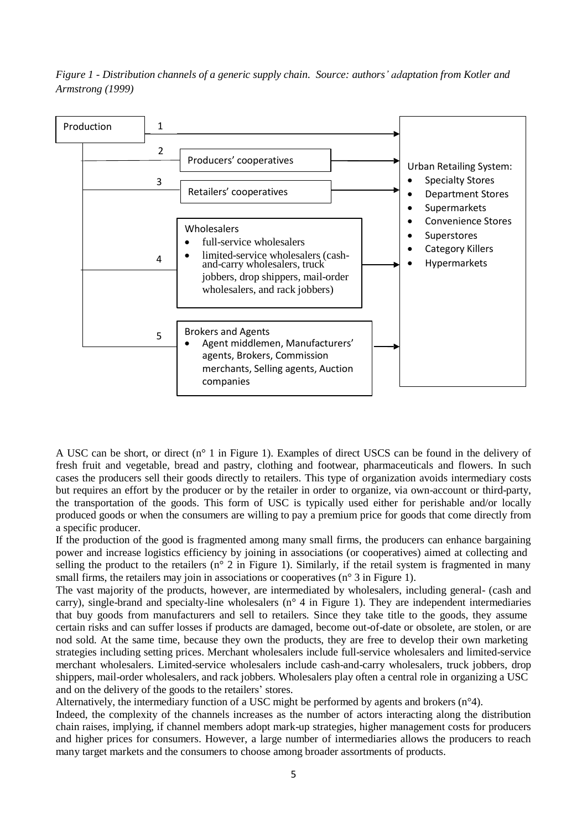*Figure 1 - Distribution channels of a generic supply chain. Source: authors' adaptation from Kotler and Armstrong (1999)*



A USC can be short, or direct (n° 1 in Figure 1). Examples of direct USCS can be found in the delivery of fresh fruit and vegetable, bread and pastry, clothing and footwear, pharmaceuticals and flowers. In such cases the producers sell their goods directly to retailers. This type of organization avoids intermediary costs but requires an effort by the producer or by the retailer in order to organize, via own-account or third-party, the transportation of the goods. This form of USC is typically used either for perishable and/or locally produced goods or when the consumers are willing to pay a premium price for goods that come directly from a specific producer.

If the production of the good is fragmented among many small firms, the producers can enhance bargaining power and increase logistics efficiency by joining in associations (or cooperatives) aimed at collecting and selling the product to the retailers ( $n^{\circ}$  2 in Figure 1). Similarly, if the retail system is fragmented in many small firms, the retailers may join in associations or cooperatives ( $n^{\circ}$  3 in Figure 1).

The vast majority of the products, however, are intermediated by wholesalers, including general- (cash and carry), single-brand and specialty-line wholesalers ( $n^{\circ}$  4 in Figure 1). They are independent intermediaries that buy goods from manufacturers and sell to retailers. Since they take title to the goods, they assume certain risks and can suffer losses if products are damaged, become out-of-date or obsolete, are stolen, or are nod sold. At the same time, because they own the products, they are free to develop their own marketing strategies including setting prices. Merchant wholesalers include full-service wholesalers and limited-service merchant wholesalers. Limited-service wholesalers include cash-and-carry wholesalers, truck jobbers, drop shippers, mail-order wholesalers, and rack jobbers. Wholesalers play often a central role in organizing a USC and on the delivery of the goods to the retailers' stores.

Alternatively, the intermediary function of a USC might be performed by agents and brokers (n°4).

Indeed, the complexity of the channels increases as the number of actors interacting along the distribution chain raises, implying, if channel members adopt mark-up strategies, higher management costs for producers and higher prices for consumers. However, a large number of intermediaries allows the producers to reach many target markets and the consumers to choose among broader assortments of products.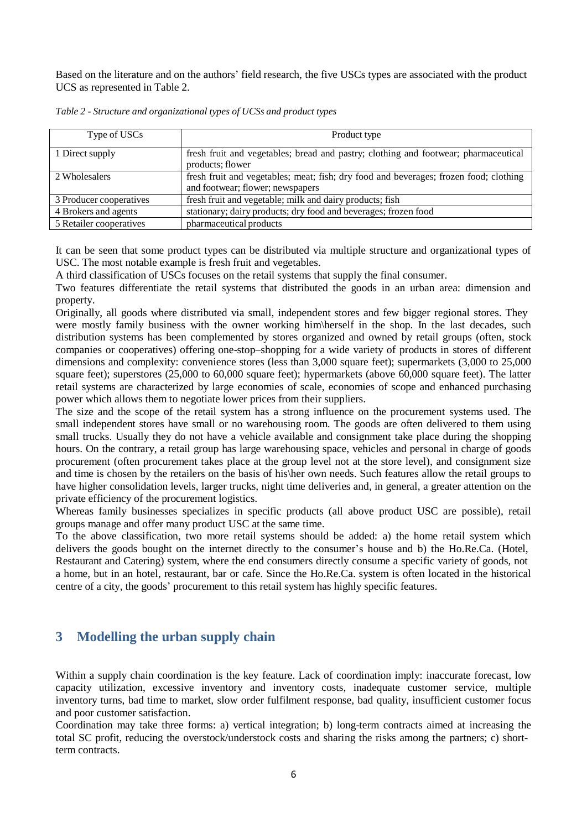Based on the literature and on the authors' field research, the five USCs types are associated with the product UCS as represented in Table 2.

| Type of USCs            | Product type                                                                                                              |
|-------------------------|---------------------------------------------------------------------------------------------------------------------------|
| 1 Direct supply         | fresh fruit and vegetables; bread and pastry; clothing and footwear; pharmaceutical<br>products; flower                   |
| 2 Wholesalers           | fresh fruit and vegetables; meat; fish; dry food and beverages; frozen food; clothing<br>and footwear; flower; newspapers |
| 3 Producer cooperatives | fresh fruit and vegetable; milk and dairy products; fish                                                                  |
| 4 Brokers and agents    | stationary; dairy products; dry food and beverages; frozen food                                                           |
| 5 Retailer cooperatives | pharmaceutical products                                                                                                   |

*Table 2 - Structure and organizational types of UCSs and product types*

It can be seen that some product types can be distributed via multiple structure and organizational types of USC. The most notable example is fresh fruit and vegetables.

A third classification of USCs focuses on the retail systems that supply the final consumer.

Two features differentiate the retail systems that distributed the goods in an urban area: dimension and property.

Originally, all goods where distributed via small, independent stores and few bigger regional stores. They were mostly family business with the owner working him\herself in the shop. In the last decades, such distribution systems has been complemented by stores organized and owned by retail groups (often, stock companies or cooperatives) offering one-stop–shopping for a wide variety of products in stores of different dimensions and complexity: convenience stores (less than 3,000 square feet); supermarkets (3,000 to 25,000 square feet); superstores (25,000 to 60,000 square feet); hypermarkets (above 60,000 square feet). The latter retail systems are characterized by large economies of scale, economies of scope and enhanced purchasing power which allows them to negotiate lower prices from their suppliers.

The size and the scope of the retail system has a strong influence on the procurement systems used. The small independent stores have small or no warehousing room. The goods are often delivered to them using small trucks. Usually they do not have a vehicle available and consignment take place during the shopping hours. On the contrary, a retail group has large warehousing space, vehicles and personal in charge of goods procurement (often procurement takes place at the group level not at the store level), and consignment size and time is chosen by the retailers on the basis of his\her own needs. Such features allow the retail groups to have higher consolidation levels, larger trucks, night time deliveries and, in general, a greater attention on the private efficiency of the procurement logistics.

Whereas family businesses specializes in specific products (all above product USC are possible), retail groups manage and offer many product USC at the same time.

To the above classification, two more retail systems should be added: a) the home retail system which delivers the goods bought on the internet directly to the consumer's house and b) the Ho.Re.Ca. (Hotel, Restaurant and Catering) system, where the end consumers directly consume a specific variety of goods, not a home, but in an hotel, restaurant, bar or cafe. Since the Ho.Re.Ca. system is often located in the historical centre of a city, the goods' procurement to this retail system has highly specific features.

### **3 Modelling the urban supply chain**

Within a supply chain coordination is the key feature. Lack of coordination imply: inaccurate forecast, low capacity utilization, excessive inventory and inventory costs, inadequate customer service, multiple inventory turns, bad time to market, slow order fulfilment response, bad quality, insufficient customer focus and poor customer satisfaction.

Coordination may take three forms: a) vertical integration; b) long-term contracts aimed at increasing the total SC profit, reducing the overstock/understock costs and sharing the risks among the partners; c) shortterm contracts.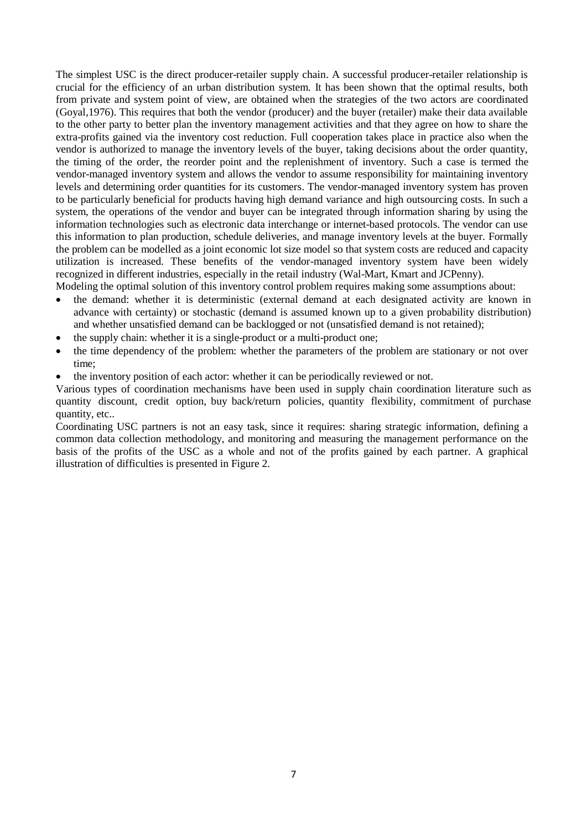The simplest USC is the direct producer-retailer supply chain. A successful producer-retailer relationship is crucial for the efficiency of an urban distribution system. It has been shown that the optimal results, both from private and system point of view, are obtained when the strategies of the two actors are coordinated (Goyal,1976). This requires that both the vendor (producer) and the buyer (retailer) make their data available to the other party to better plan the inventory management activities and that they agree on how to share the extra-profits gained via the inventory cost reduction. Full cooperation takes place in practice also when the vendor is authorized to manage the inventory levels of the buyer, taking decisions about the order quantity, the timing of the order, the reorder point and the replenishment of inventory. Such a case is termed the vendor-managed inventory system and allows the vendor to assume responsibility for maintaining inventory levels and determining order quantities for its customers. The vendor-managed inventory system has proven to be particularly beneficial for products having high demand variance and high outsourcing costs. In such a system, the operations of the vendor and buyer can be integrated through information sharing by using the information technologies such as electronic data interchange or internet-based protocols. The vendor can use this information to plan production, schedule deliveries, and manage inventory levels at the buyer. Formally the problem can be modelled as a joint economic lot size model so that system costs are reduced and capacity utilization is increased. These benefits of the vendor-managed inventory system have been widely recognized in different industries, especially in the retail industry (Wal-Mart, Kmart and JCPenny). Modeling the optimal solution of this inventory control problem requires making some assumptions about:

- the demand: whether it is deterministic (external demand at each designated activity are known in advance with certainty) or stochastic (demand is assumed known up to a given probability distribution) and whether unsatisfied demand can be backlogged or not (unsatisfied demand is not retained);
- the supply chain: whether it is a single-product or a multi-product one;
- the time dependency of the problem: whether the parameters of the problem are stationary or not over time;
- the inventory position of each actor: whether it can be periodically reviewed or not.

Various types of coordination mechanisms have been used in supply chain coordination literature such as quantity discount, credit option, buy back/return policies, quantity flexibility, commitment of purchase quantity, etc..

Coordinating USC partners is not an easy task, since it requires: sharing strategic information, defining a common data collection methodology, and monitoring and measuring the management performance on the basis of the profits of the USC as a whole and not of the profits gained by each partner. A graphical illustration of difficulties is presented in Figure 2.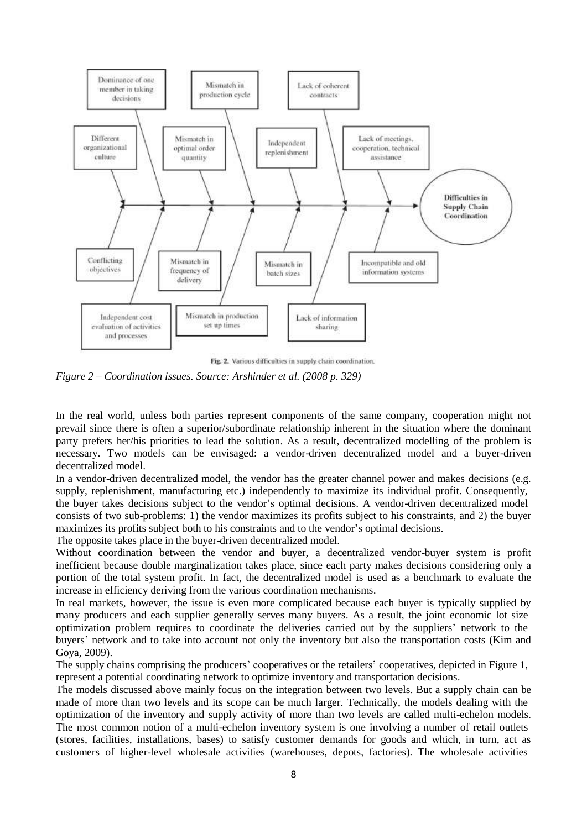

*Figure 2 – Coordination issues. Source: Arshinder et al. (2008 p. 329)*

In the real world, unless both parties represent components of the same company, cooperation might not prevail since there is often a superior/subordinate relationship inherent in the situation where the dominant party prefers her/his priorities to lead the solution. As a result, decentralized modelling of the problem is necessary. Two models can be envisaged: a vendor-driven decentralized model and a buyer-driven decentralized model.

In a vendor-driven decentralized model, the vendor has the greater channel power and makes decisions (e.g. supply, replenishment, manufacturing etc.) independently to maximize its individual profit. Consequently, the buyer takes decisions subject to the vendor's optimal decisions. A vendor-driven decentralized model consists of two sub-problems: 1) the vendor maximizes its profits subject to his constraints, and 2) the buyer maximizes its profits subject both to his constraints and to the vendor's optimal decisions.

The opposite takes place in the buyer-driven decentralized model.

Without coordination between the vendor and buyer, a decentralized vendor-buyer system is profit inefficient because double marginalization takes place, since each party makes decisions considering only a portion of the total system profit. In fact, the decentralized model is used as a benchmark to evaluate the increase in efficiency deriving from the various coordination mechanisms.

In real markets, however, the issue is even more complicated because each buyer is typically supplied by many producers and each supplier generally serves many buyers. As a result, the joint economic lot size optimization problem requires to coordinate the deliveries carried out by the suppliers' network to the buyers' network and to take into account not only the inventory but also the transportation costs (Kim and Goya, 2009).

The supply chains comprising the producers' cooperatives or the retailers' cooperatives, depicted in Figure 1, represent a potential coordinating network to optimize inventory and transportation decisions.

The models discussed above mainly focus on the integration between two levels. But a supply chain can be made of more than two levels and its scope can be much larger. Technically, the models dealing with the optimization of the inventory and supply activity of more than two levels are called multi-echelon models. The most common notion of a multi-echelon inventory system is one involving a number of retail outlets (stores, facilities, installations, bases) to satisfy customer demands for goods and which, in turn, act as customers of higher-level wholesale activities (warehouses, depots, factories). The wholesale activities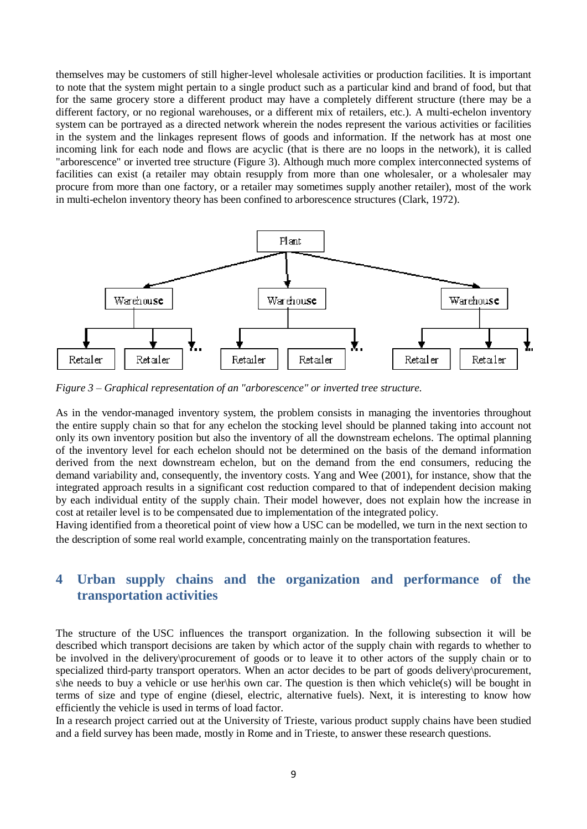themselves may be customers of still higher-level wholesale activities or production facilities. It is important to note that the system might pertain to a single product such as a particular kind and brand of food, but that for the same grocery store a different product may have a completely different structure (there may be a different factory, or no regional warehouses, or a different mix of retailers, etc.). A multi-echelon inventory system can be portrayed as a directed network wherein the nodes represent the various activities or facilities in the system and the linkages represent flows of goods and information. If the network has at most one incoming link for each node and flows are acyclic (that is there are no loops in the network), it is called "arborescence" or inverted tree structure (Figure 3). Although much more complex interconnected systems of facilities can exist (a retailer may obtain resupply from more than one wholesaler, or a wholesaler may procure from more than one factory, or a retailer may sometimes supply another retailer), most of the work in multi-echelon inventory theory has been confined to arborescence structures (Clark, 1972).



*Figure 3 – Graphical representation of an "arborescence" or inverted tree structure.*

As in the vendor-managed inventory system, the problem consists in managing the inventories throughout the entire supply chain so that for any echelon the stocking level should be planned taking into account not only its own inventory position but also the inventory of all the downstream echelons. The optimal planning of the inventory level for each echelon should not be determined on the basis of the demand information derived from the next downstream echelon, but on the demand from the end consumers, reducing the demand variability and, consequently, the inventory costs. Yang and Wee (2001), for instance, show that the integrated approach results in a significant cost reduction compared to that of independent decision making by each individual entity of the supply chain. Their model however, does not explain how the increase in cost at retailer level is to be compensated due to implementation of the integrated policy.

Having identified from a theoretical point of view how a USC can be modelled, we turn in the next section to the description of some real world example, concentrating mainly on the transportation features.

### **4 Urban supply chains and the organization and performance of the transportation activities**

The structure of the USC influences the transport organization. In the following subsection it will be described which transport decisions are taken by which actor of the supply chain with regards to whether to be involved in the delivery\procurement of goods or to leave it to other actors of the supply chain or to specialized third-party transport operators. When an actor decides to be part of goods delivery\procurement, s\he needs to buy a vehicle or use her\his own car. The question is then which vehicle(s) will be bought in terms of size and type of engine (diesel, electric, alternative fuels). Next, it is interesting to know how efficiently the vehicle is used in terms of load factor.

In a research project carried out at the University of Trieste, various product supply chains have been studied and a field survey has been made, mostly in Rome and in Trieste, to answer these research questions.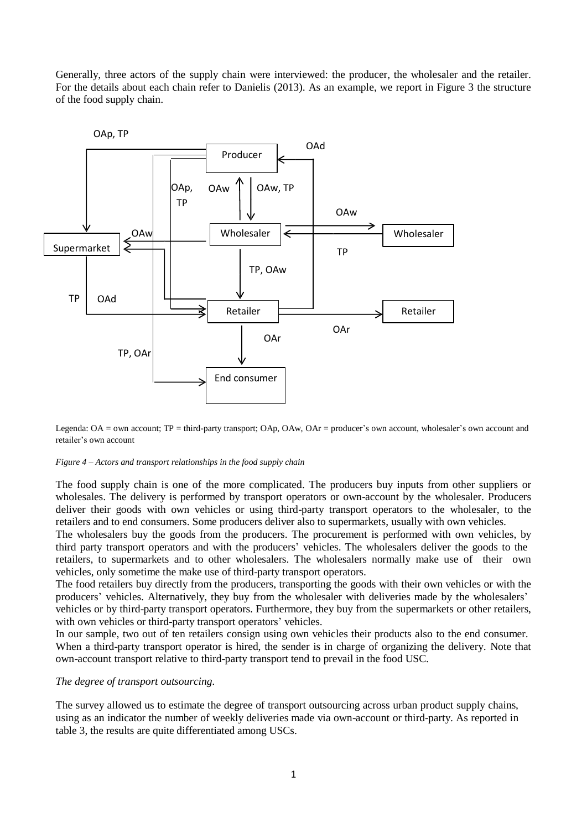Generally, three actors of the supply chain were interviewed: the producer, the wholesaler and the retailer. For the details about each chain refer to Danielis (2013). As an example, we report in Figure 3 the structure of the food supply chain.



Legenda: OA = own account; TP = third-party transport; OAp, OAw, OAr = producer's own account, wholesaler's own account and retailer's own account

#### *Figure 4 – Actors and transport relationships in the food supply chain*

The food supply chain is one of the more complicated. The producers buy inputs from other suppliers or wholesales. The delivery is performed by transport operators or own-account by the wholesaler. Producers deliver their goods with own vehicles or using third-party transport operators to the wholesaler, to the retailers and to end consumers. Some producers deliver also to supermarkets, usually with own vehicles.

The wholesalers buy the goods from the producers. The procurement is performed with own vehicles, by third party transport operators and with the producers' vehicles. The wholesalers deliver the goods to the retailers, to supermarkets and to other wholesalers. The wholesalers normally make use of their own vehicles, only sometime the make use of third-party transport operators.

The food retailers buy directly from the producers, transporting the goods with their own vehicles or with the producers' vehicles. Alternatively, they buy from the wholesaler with deliveries made by the wholesalers' vehicles or by third-party transport operators. Furthermore, they buy from the supermarkets or other retailers, with own vehicles or third-party transport operators' vehicles.

In our sample, two out of ten retailers consign using own vehicles their products also to the end consumer. When a third-party transport operator is hired, the sender is in charge of organizing the delivery. Note that own-account transport relative to third-party transport tend to prevail in the food USC.

#### *The degree of transport outsourcing.*

The survey allowed us to estimate the degree of transport outsourcing across urban product supply chains, using as an indicator the number of weekly deliveries made via own-account or third-party. As reported in table 3, the results are quite differentiated among USCs.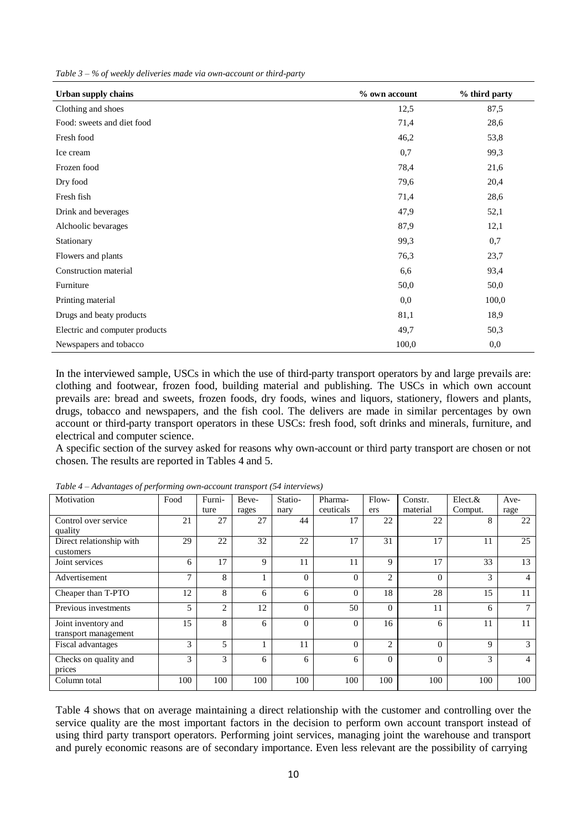*Table 3 – % of weekly deliveries made via own-account or third-party*

| Urban supply chains            | % own account | % third party |
|--------------------------------|---------------|---------------|
| Clothing and shoes             | 12,5          | 87,5          |
| Food: sweets and diet food     | 71,4          | 28,6          |
| Fresh food                     | 46,2          | 53,8          |
| Ice cream                      | 0,7           | 99,3          |
| Frozen food                    | 78,4          | 21,6          |
| Dry food                       | 79,6          | 20,4          |
| Fresh fish                     | 71,4          | 28,6          |
| Drink and beverages            | 47,9          | 52,1          |
| Alchoolic bevarages            | 87,9          | 12,1          |
| Stationary                     | 99,3          | 0,7           |
| Flowers and plants             | 76,3          | 23,7          |
| Construction material          | 6,6           | 93,4          |
| Furniture                      | 50,0          | 50,0          |
| Printing material              | 0,0           | 100,0         |
| Drugs and beaty products       | 81,1          | 18,9          |
| Electric and computer products | 49,7          | 50,3          |
| Newspapers and tobacco         | 100,0         | 0,0           |

In the interviewed sample, USCs in which the use of third-party transport operators by and large prevails are: clothing and footwear, frozen food, building material and publishing. The USCs in which own account prevails are: bread and sweets, frozen foods, dry foods, wines and liquors, stationery, flowers and plants, drugs, tobacco and newspapers, and the fish cool. The delivers are made in similar percentages by own account or third-party transport operators in these USCs: fresh food, soft drinks and minerals, furniture, and electrical and computer science.

A specific section of the survey asked for reasons why own-account or third party transport are chosen or not chosen. The results are reported in Tables 4 and 5.

| Motivation               | Food         | Furni-         | Beve-       | Statio-  | Pharma-   | Flow-          | Constr.  | $Elect. \&$ | Ave-          |
|--------------------------|--------------|----------------|-------------|----------|-----------|----------------|----------|-------------|---------------|
|                          |              | ture           | rages       | nary     | ceuticals | ers            | material | Comput.     | rage          |
| Control over service     | 21           | 27             | 27          | 44       | 17        | 22             | 22       | 8           | 22            |
| quality                  |              |                |             |          |           |                |          |             |               |
| Direct relationship with | 29           | 22             | 32          | 22       | 17        | 31             | 17       | 11          | 25            |
| customers                |              |                |             |          |           |                |          |             |               |
| Joint services           | 6            | 17             | $\mathbf Q$ | 11       | 11        | 9              | 17       | 33          | 13            |
| Advertisement            | $\mathbf{r}$ | 8              |             | $\Omega$ | $\Omega$  | $\overline{2}$ | $\Omega$ | 3           | 4             |
| Cheaper than T-PTO       | 12           | 8              | 6           | 6        | $\theta$  | 18             | 28       | 15          | 11            |
| Previous investments     | 5            | $\overline{2}$ | 12          | $\Omega$ | 50        | $\theta$       | 11       | 6           | $\mathcal{I}$ |
| Joint inventory and      | 15           | 8              | 6           | $\Omega$ | $\Omega$  | 16             | 6        | 11          | 11            |
| transport management     |              |                |             |          |           |                |          |             |               |
| Fiscal advantages        | 3            | 5              |             | 11       | $\Omega$  | $\overline{2}$ | $\Omega$ | 9           | 3             |
| Checks on quality and    | 3            | 3              | 6           | 6        | 6         | $\Omega$       | $\Omega$ | 3           | 4             |
| prices                   |              |                |             |          |           |                |          |             |               |
| Column total             | 100          | 100            | 100         | 100      | 100       | 100            | 100      | 100         | 100           |

*Table 4 – Advantages of performing own-account transport (54 interviews)*

Table 4 shows that on average maintaining a direct relationship with the customer and controlling over the service quality are the most important factors in the decision to perform own account transport instead of using third party transport operators. Performing joint services, managing joint the warehouse and transport and purely economic reasons are of secondary importance. Even less relevant are the possibility of carrying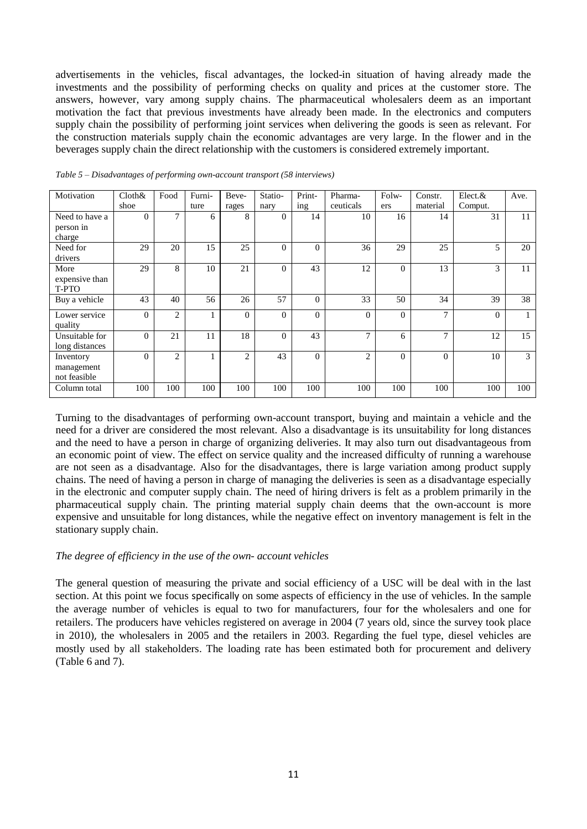advertisements in the vehicles, fiscal advantages, the locked-in situation of having already made the investments and the possibility of performing checks on quality and prices at the customer store. The answers, however, vary among supply chains. The pharmaceutical wholesalers deem as an important motivation the fact that previous investments have already been made. In the electronics and computers supply chain the possibility of performing joint services when delivering the goods is seen as relevant. For the construction materials supply chain the economic advantages are very large. In the flower and in the beverages supply chain the direct relationship with the customers is considered extremely important.

| Motivation     | $C$ loth $\&$ | Food           | Furni- | Beve-          | Statio-        | Print-         | Pharma-        | Folw-    | Constr.       | $Elect. \&$ | Ave. |
|----------------|---------------|----------------|--------|----------------|----------------|----------------|----------------|----------|---------------|-------------|------|
|                | shoe          |                | ture   | rages          | nary           | ing            | ceuticals      | ers      | material      | Comput.     |      |
| Need to have a | $\Omega$      | $\mathcal{I}$  | 6      | 8              | $\Omega$       | 14             | 10             | 16       | 14            | 31          | 11   |
| person in      |               |                |        |                |                |                |                |          |               |             |      |
| charge         |               |                |        |                |                |                |                |          |               |             |      |
| Need for       | 29            | 20             | 15     | 25             | $\Omega$       | $\theta$       | 36             | 29       | 25            | 5           | 20   |
| drivers        |               |                |        |                |                |                |                |          |               |             |      |
| More           | 29            | 8              | 10     | 21             | $\overline{0}$ | 43             | 12             | $\Omega$ | 13            | 3           | 11   |
| expensive than |               |                |        |                |                |                |                |          |               |             |      |
| T-PTO          |               |                |        |                |                |                |                |          |               |             |      |
| Buy a vehicle  | 43            | 40             | 56     | 26             | 57             | $\overline{0}$ | 33             | 50       | 34            | 39          | 38   |
| Lower service  | $\mathbf{0}$  | $\overline{2}$ |        | $\Omega$       | $\mathbf{0}$   | $\theta$       | $\Omega$       | $\Omega$ | $\mathcal{I}$ | $\Omega$    |      |
| quality        |               |                |        |                |                |                |                |          |               |             |      |
| Unsuitable for | $\theta$      | 21             | 11     | 18             | $\Omega$       | 43             | 7              | 6        | $\mathcal{I}$ | 12          | 15   |
| long distances |               |                |        |                |                |                |                |          |               |             |      |
| Inventory      | $\Omega$      | $\overline{2}$ |        | $\overline{2}$ | 43             | $\theta$       | $\overline{2}$ | $\Omega$ | $\Omega$      | 10          | 3    |
| management     |               |                |        |                |                |                |                |          |               |             |      |
| not feasible   |               |                |        |                |                |                |                |          |               |             |      |
| Column total   | 100           | 100            | 100    | 100            | 100            | 100            | 100            | 100      | 100           | 100         | 100  |

*Table 5 – Disadvantages of performing own-account transport (58 interviews)*

Turning to the disadvantages of performing own-account transport, buying and maintain a vehicle and the need for a driver are considered the most relevant. Also a disadvantage is its unsuitability for long distances and the need to have a person in charge of organizing deliveries. It may also turn out disadvantageous from an economic point of view. The effect on service quality and the increased difficulty of running a warehouse are not seen as a disadvantage. Also for the disadvantages, there is large variation among product supply chains. The need of having a person in charge of managing the deliveries is seen as a disadvantage especially in the electronic and computer supply chain. The need of hiring drivers is felt as a problem primarily in the pharmaceutical supply chain. The printing material supply chain deems that the own-account is more expensive and unsuitable for long distances, while the negative effect on inventory management is felt in the stationary supply chain.

#### *The degree of efficiency in the use of the own- account vehicles*

The general question of measuring the private and social efficiency of a USC will be deal with in the last section. At this point we focus specifically on some aspects of efficiency in the use of vehicles. In the sample the average number of vehicles is equal to two for manufacturers, four for the wholesalers and one for retailers. The producers have vehicles registered on average in 2004 (7 years old, since the survey took place in 2010), the wholesalers in 2005 and the retailers in 2003. Regarding the fuel type, diesel vehicles are mostly used by all stakeholders. The loading rate has been estimated both for procurement and delivery (Table 6 and 7).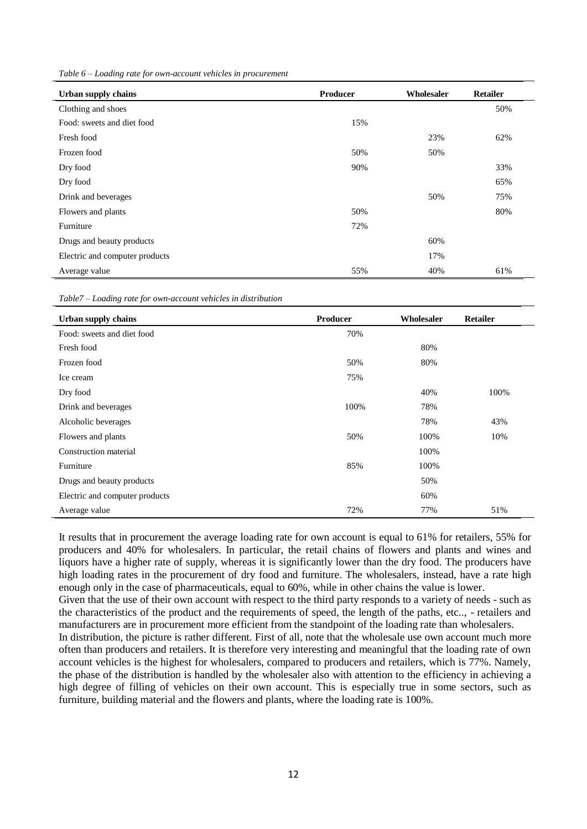*Table 6 – Loading rate for own-account vehicles in procurement*

| <b>Urban supply chains</b>     | Producer | Wholesaler | <b>Retailer</b> |
|--------------------------------|----------|------------|-----------------|
| Clothing and shoes             |          |            | 50%             |
| Food: sweets and diet food     | 15%      |            |                 |
| Fresh food                     |          | 23%        | 62%             |
| Frozen food                    | 50%      | 50%        |                 |
| Dry food                       | 90%      |            | 33%             |
| Dry food                       |          |            | 65%             |
| Drink and beverages            |          | 50%        | 75%             |
| Flowers and plants             | 50%      |            | 80%             |
| Furniture                      | 72%      |            |                 |
| Drugs and beauty products      |          | 60%        |                 |
| Electric and computer products |          | 17%        |                 |
| Average value                  | 55%      | 40%        | 61%             |

*Table7 – Loading rate for own-account vehicles in distribution*

| <b>Urban supply chains</b>     | Producer | Wholesaler | <b>Retailer</b> |
|--------------------------------|----------|------------|-----------------|
| Food: sweets and diet food     | 70%      |            |                 |
| Fresh food                     |          | 80%        |                 |
| Frozen food                    | 50%      | 80%        |                 |
| Ice cream                      | 75%      |            |                 |
| Dry food                       |          | 40%        | 100%            |
| Drink and beverages            | 100%     | 78%        |                 |
| Alcoholic beverages            |          | 78%        | 43%             |
| Flowers and plants             | 50%      | 100%       | 10%             |
| Construction material          |          | 100%       |                 |
| Furniture                      | 85%      | 100%       |                 |
| Drugs and beauty products      |          | 50%        |                 |
| Electric and computer products |          | 60%        |                 |
| Average value                  | 72%      | 77%        | 51%             |

It results that in procurement the average loading rate for own account is equal to 61% for retailers, 55% for producers and 40% for wholesalers. In particular, the retail chains of flowers and plants and wines and liquors have a higher rate of supply, whereas it is significantly lower than the dry food. The producers have high loading rates in the procurement of dry food and furniture. The wholesalers, instead, have a rate high enough only in the case of pharmaceuticals, equal to 60%, while in other chains the value is lower.

Given that the use of their own account with respect to the third party responds to a variety of needs - such as the characteristics of the product and the requirements of speed, the length of the paths, etc.., - retailers and manufacturers are in procurement more efficient from the standpoint of the loading rate than wholesalers.

In distribution, the picture is rather different. First of all, note that the wholesale use own account much more often than producers and retailers. It is therefore very interesting and meaningful that the loading rate of own account vehicles is the highest for wholesalers, compared to producers and retailers, which is 77%. Namely, the phase of the distribution is handled by the wholesaler also with attention to the efficiency in achieving a high degree of filling of vehicles on their own account. This is especially true in some sectors, such as furniture, building material and the flowers and plants, where the loading rate is 100%.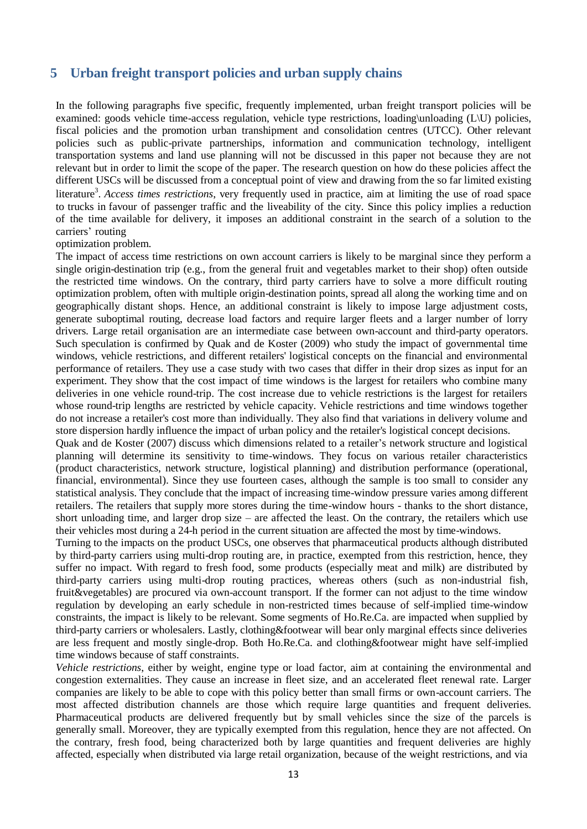### **5 Urban freight transport policies and urban supply chains**

In the following paragraphs five specific, frequently implemented, urban freight transport policies will be examined: goods vehicle time-access regulation, vehicle type restrictions, loading\unloading (L\U) policies, fiscal policies and the promotion urban transhipment and consolidation centres (UTCC). Other relevant policies such as public-private partnerships, information and communication technology, intelligent transportation systems and land use planning will not be discussed in this paper not because they are not relevant but in order to limit the scope of the paper. The research question on how do these policies affect the different USCs will be discussed from a conceptual point of view and drawing from the so far limited existing literature 3 . *Access times restrictions*, very frequently used in practice, aim at limiting the use of road space to trucks in favour of passenger traffic and the liveability of the city. Since this policy implies a reduction of the time available for delivery, it imposes an additional constraint in the search of a solution to the carriers' routing

optimization problem.

The impact of access time restrictions on own account carriers is likely to be marginal since they perform a single origin-destination trip (e.g., from the general fruit and vegetables market to their shop) often outside the restricted time windows. On the contrary, third party carriers have to solve a more difficult routing optimization problem, often with multiple origin-destination points, spread all along the working time and on geographically distant shops. Hence, an additional constraint is likely to impose large adjustment costs, generate suboptimal routing, decrease load factors and require larger fleets and a larger number of lorry drivers. Large retail organisation are an intermediate case between own-account and third-party operators. Such speculation is confirmed by Quak and de Koster (2009) who study the impact of governmental time windows, vehicle restrictions, and different retailers' logistical concepts on the financial and environmental performance of retailers. They use a case study with two cases that differ in their drop sizes as input for an experiment. They show that the cost impact of time windows is the largest for retailers who combine many deliveries in one vehicle round-trip. The cost increase due to vehicle restrictions is the largest for retailers whose round-trip lengths are restricted by vehicle capacity. Vehicle restrictions and time windows together do not increase a retailer's cost more than individually. They also find that variations in delivery volume and store dispersion hardly influence the impact of urban policy and the retailer's logistical concept decisions.

Quak and de Koster (2007) discuss which dimensions related to a retailer's network structure and logistical planning will determine its sensitivity to time-windows. They focus on various retailer characteristics (product characteristics, network structure, logistical planning) and distribution performance (operational, financial, environmental). Since they use fourteen cases, although the sample is too small to consider any statistical analysis. They conclude that the impact of increasing time-window pressure varies among different retailers. The retailers that supply more stores during the time-window hours - thanks to the short distance, short unloading time, and larger drop size – are affected the least. On the contrary, the retailers which use their vehicles most during a 24-h period in the current situation are affected the most by time-windows.

Turning to the impacts on the product USCs, one observes that pharmaceutical products although distributed by third-party carriers using multi-drop routing are, in practice, exempted from this restriction, hence, they suffer no impact. With regard to fresh food, some products (especially meat and milk) are distributed by third-party carriers using multi-drop routing practices, whereas others (such as non-industrial fish, fruit&vegetables) are procured via own-account transport. If the former can not adjust to the time window regulation by developing an early schedule in non-restricted times because of self-implied time-window constraints, the impact is likely to be relevant. Some segments of Ho.Re.Ca. are impacted when supplied by third-party carriers or wholesalers. Lastly, clothing&footwear will bear only marginal effects since deliveries are less frequent and mostly single-drop. Both Ho.Re.Ca. and clothing&footwear might have self-implied time windows because of staff constraints.

*Vehicle restrictions*, either by weight, engine type or load factor, aim at containing the environmental and congestion externalities. They cause an increase in fleet size, and an accelerated fleet renewal rate. Larger companies are likely to be able to cope with this policy better than small firms or own-account carriers. The most affected distribution channels are those which require large quantities and frequent deliveries. Pharmaceutical products are delivered frequently but by small vehicles since the size of the parcels is generally small. Moreover, they are typically exempted from this regulation, hence they are not affected. On the contrary, fresh food, being characterized both by large quantities and frequent deliveries are highly affected, especially when distributed via large retail organization, because of the weight restrictions, and via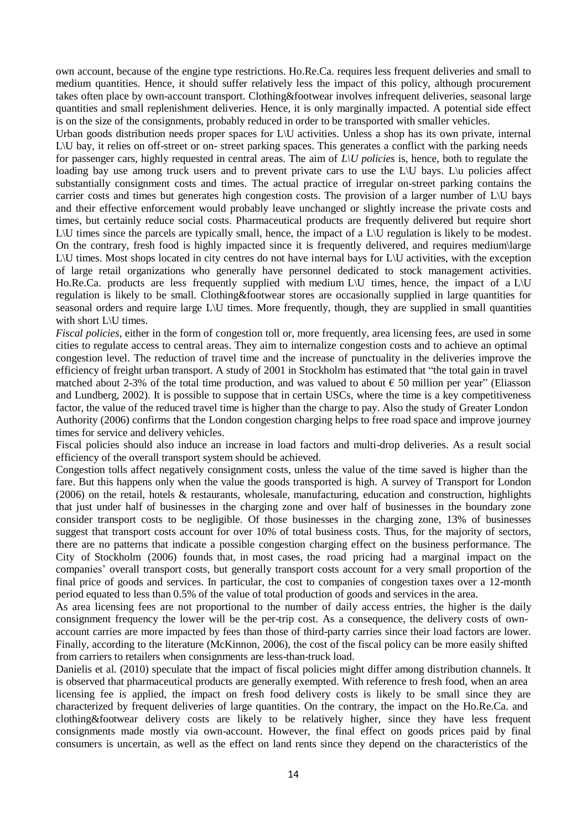own account, because of the engine type restrictions. Ho.Re.Ca. requires less frequent deliveries and small to medium quantities. Hence, it should suffer relatively less the impact of this policy, although procurement takes often place by own-account transport. Clothing&footwear involves infrequent deliveries, seasonal large quantities and small replenishment deliveries. Hence, it is only marginally impacted. A potential side effect is on the size of the consignments, probably reduced in order to be transported with smaller vehicles.

Urban goods distribution needs proper spaces for L\U activities. Unless a shop has its own private, internal L\U bay, it relies on off-street or on- street parking spaces. This generates a conflict with the parking needs for passenger cars, highly requested in central areas. The aim of *L\U policies* is, hence, both to regulate the loading bay use among truck users and to prevent private cars to use the  $L\setminus U$  bays. L $\setminus u$  policies affect substantially consignment costs and times. The actual practice of irregular on-street parking contains the carrier costs and times but generates high congestion costs. The provision of a larger number of L\U bays and their effective enforcement would probably leave unchanged or slightly increase the private costs and times, but certainly reduce social costs. Pharmaceutical products are frequently delivered but require short L\U times since the parcels are typically small, hence, the impact of a L\U regulation is likely to be modest. On the contrary, fresh food is highly impacted since it is frequently delivered, and requires medium\large L\U times. Most shops located in city centres do not have internal bays for L\U activities, with the exception of large retail organizations who generally have personnel dedicated to stock management activities. Ho.Re.Ca. products are less frequently supplied with medium  $L\setminus U$  times, hence, the impact of a  $L\setminus U$ regulation is likely to be small. Clothing&footwear stores are occasionally supplied in large quantities for seasonal orders and require large L\U times. More frequently, though, they are supplied in small quantities with short L\U times.

*Fiscal policies*, either in the form of congestion toll or, more frequently, area licensing fees, are used in some cities to regulate access to central areas. They aim to internalize congestion costs and to achieve an optimal congestion level. The reduction of travel time and the increase of punctuality in the deliveries improve the efficiency of freight urban transport. A study of 2001 in Stockholm has estimated that "the total gain in travel matched about 2-3% of the total time production, and was valued to about  $\epsilon$  50 million per year" (Eliasson and Lundberg, 2002). It is possible to suppose that in certain USCs, where the time is a key competitiveness factor, the value of the reduced travel time is higher than the charge to pay. Also the study of Greater London Authority (2006) confirms that the London congestion charging helps to free road space and improve journey times for service and delivery vehicles.

Fiscal policies should also induce an increase in load factors and multi-drop deliveries. As a result social efficiency of the overall transport system should be achieved.

Congestion tolls affect negatively consignment costs, unless the value of the time saved is higher than the fare. But this happens only when the value the goods transported is high. A survey of Transport for London (2006) on the retail, hotels & restaurants, wholesale, manufacturing, education and construction, highlights that just under half of businesses in the charging zone and over half of businesses in the boundary zone consider transport costs to be negligible. Of those businesses in the charging zone, 13% of businesses suggest that transport costs account for over 10% of total business costs. Thus, for the majority of sectors, there are no patterns that indicate a possible congestion charging effect on the business performance. The City of Stockholm (2006) founds that, in most cases, the road pricing had a marginal impact on the companies' overall transport costs, but generally transport costs account for a very small proportion of the final price of goods and services. In particular, the cost to companies of congestion taxes over a 12-month period equated to less than 0.5% of the value of total production of goods and services in the area.

As area licensing fees are not proportional to the number of daily access entries, the higher is the daily consignment frequency the lower will be the per-trip cost. As a consequence, the delivery costs of ownaccount carries are more impacted by fees than those of third-party carries since their load factors are lower. Finally, according to the literature (McKinnon, 2006), the cost of the fiscal policy can be more easily shifted from carriers to retailers when consignments are less-than-truck load.

Danielis et al. (2010) speculate that the impact of fiscal policies might differ among distribution channels. It is observed that pharmaceutical products are generally exempted. With reference to fresh food, when an area licensing fee is applied, the impact on fresh food delivery costs is likely to be small since they are characterized by frequent deliveries of large quantities. On the contrary, the impact on the Ho.Re.Ca. and clothing&footwear delivery costs are likely to be relatively higher, since they have less frequent consignments made mostly via own-account. However, the final effect on goods prices paid by final consumers is uncertain, as well as the effect on land rents since they depend on the characteristics of the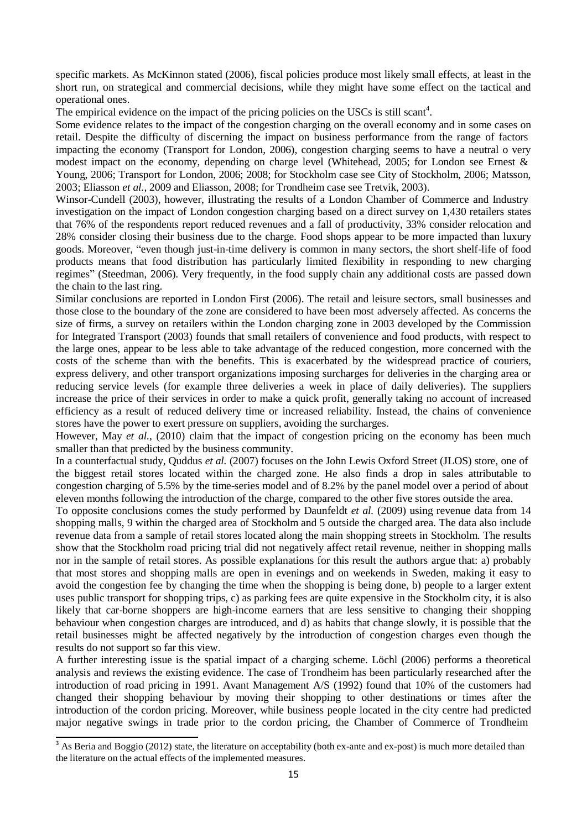specific markets. As McKinnon stated (2006), fiscal policies produce most likely small effects, at least in the short run, on strategical and commercial decisions, while they might have some effect on the tactical and operational ones.

The empirical evidence on the impact of the pricing policies on the USCs is still scant<sup>4</sup>.

Some evidence relates to the impact of the congestion charging on the overall economy and in some cases on retail. Despite the difficulty of discerning the impact on business performance from the range of factors impacting the economy (Transport for London, 2006), congestion charging seems to have a neutral o very modest impact on the economy, depending on charge level (Whitehead, 2005; for London see Ernest & Young, 2006; Transport for London, 2006; 2008; for Stockholm case see City of Stockholm, 2006; Matsson, 2003; Eliasson *et al.,* 2009 and Eliasson, 2008; for Trondheim case see Tretvik, 2003).

Winsor-Cundell (2003), however, illustrating the results of a London Chamber of Commerce and Industry investigation on the impact of London congestion charging based on a direct survey on 1,430 retailers states that 76% of the respondents report reduced revenues and a fall of productivity, 33% consider relocation and 28% consider closing their business due to the charge. Food shops appear to be more impacted than luxury goods. Moreover, "even though just-in-time delivery is common in many sectors, the short shelf-life of food products means that food distribution has particularly limited flexibility in responding to new charging regimes" (Steedman, 2006). Very frequently, in the food supply chain any additional costs are passed down the chain to the last ring.

Similar conclusions are reported in London First (2006). The retail and leisure sectors, small businesses and those close to the boundary of the zone are considered to have been most adversely affected. As concerns the size of firms, a survey on retailers within the London charging zone in 2003 developed by the Commission for Integrated Transport (2003) founds that small retailers of convenience and food products, with respect to the large ones, appear to be less able to take advantage of the reduced congestion, more concerned with the costs of the scheme than with the benefits. This is exacerbated by the widespread practice of couriers, express delivery, and other transport organizations imposing surcharges for deliveries in the charging area or reducing service levels (for example three deliveries a week in place of daily deliveries). The suppliers increase the price of their services in order to make a quick profit, generally taking no account of increased efficiency as a result of reduced delivery time or increased reliability. Instead, the chains of convenience stores have the power to exert pressure on suppliers, avoiding the surcharges.

However, May *et al.*, (2010) claim that the impact of congestion pricing on the economy has been much smaller than that predicted by the business community.

In a counterfactual study, Quddus *et al.* (2007) focuses on the John Lewis Oxford Street (JLOS) store, one of the biggest retail stores located within the charged zone. He also finds a drop in sales attributable to congestion charging of 5.5% by the time-series model and of 8.2% by the panel model over a period of about eleven months following the introduction of the charge, compared to the other five stores outside the area.

To opposite conclusions comes the study performed by Daunfeldt *et al.* (2009) using revenue data from 14 shopping malls, 9 within the charged area of Stockholm and 5 outside the charged area. The data also include revenue data from a sample of retail stores located along the main shopping streets in Stockholm. The results show that the Stockholm road pricing trial did not negatively affect retail revenue, neither in shopping malls nor in the sample of retail stores. As possible explanations for this result the authors argue that: a) probably that most stores and shopping malls are open in evenings and on weekends in Sweden, making it easy to avoid the congestion fee by changing the time when the shopping is being done, b) people to a larger extent uses public transport for shopping trips, c) as parking fees are quite expensive in the Stockholm city, it is also likely that car-borne shoppers are high-income earners that are less sensitive to changing their shopping behaviour when congestion charges are introduced, and d) as habits that change slowly, it is possible that the retail businesses might be affected negatively by the introduction of congestion charges even though the results do not support so far this view.

A further interesting issue is the spatial impact of a charging scheme. Löchl (2006) performs a theoretical analysis and reviews the existing evidence. The case of Trondheim has been particularly researched after the introduction of road pricing in 1991. Avant Management A/S (1992) found that 10% of the customers had changed their shopping behaviour by moving their shopping to other destinations or times after the introduction of the cordon pricing. Moreover, while business people located in the city centre had predicted major negative swings in trade prior to the cordon pricing, the Chamber of Commerce of Trondheim

<sup>&</sup>lt;sup>3</sup> As Beria and Boggio (2012) state, the literature on acceptability (both ex-ante and ex-post) is much more detailed than the literature on the actual effects of the implemented measures.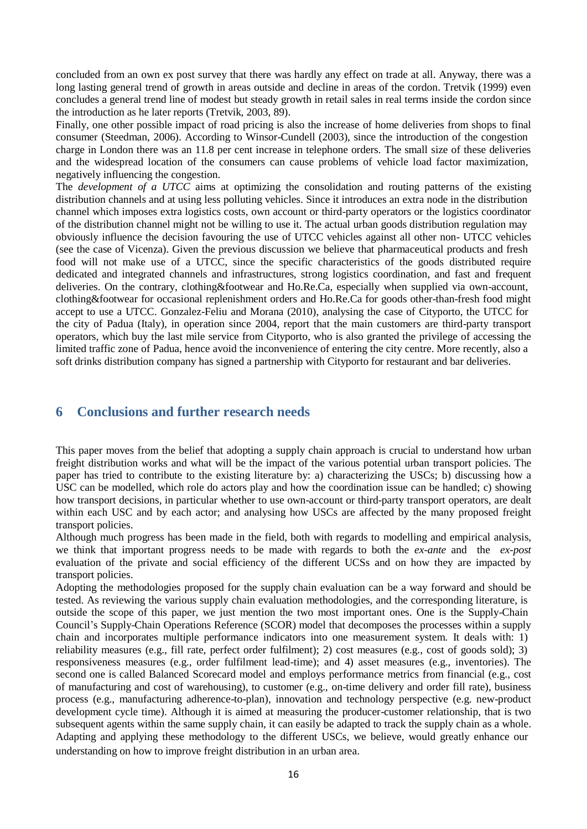concluded from an own ex post survey that there was hardly any effect on trade at all. Anyway, there was a long lasting general trend of growth in areas outside and decline in areas of the cordon. Tretvik (1999) even concludes a general trend line of modest but steady growth in retail sales in real terms inside the cordon since the introduction as he later reports (Tretvik, 2003, 89).

Finally, one other possible impact of road pricing is also the increase of home deliveries from shops to final consumer (Steedman, 2006). According to Winsor-Cundell (2003), since the introduction of the congestion charge in London there was an 11.8 per cent increase in telephone orders. The small size of these deliveries and the widespread location of the consumers can cause problems of vehicle load factor maximization, negatively influencing the congestion.

The *development of a UTCC* aims at optimizing the consolidation and routing patterns of the existing distribution channels and at using less polluting vehicles. Since it introduces an extra node in the distribution channel which imposes extra logistics costs, own account or third-party operators or the logistics coordinator of the distribution channel might not be willing to use it. The actual urban goods distribution regulation may obviously influence the decision favouring the use of UTCC vehicles against all other non- UTCC vehicles (see the case of Vicenza). Given the previous discussion we believe that pharmaceutical products and fresh food will not make use of a UTCC, since the specific characteristics of the goods distributed require dedicated and integrated channels and infrastructures, strong logistics coordination, and fast and frequent deliveries. On the contrary, clothing&footwear and Ho.Re.Ca, especially when supplied via own-account, clothing&footwear for occasional replenishment orders and Ho.Re.Ca for goods other-than-fresh food might accept to use a UTCC. Gonzalez-Feliu and Morana (2010), analysing the case of Cityporto, the UTCC for the city of Padua (Italy), in operation since 2004, report that the main customers are third-party transport operators, which buy the last mile service from Cityporto, who is also granted the privilege of accessing the limited traffic zone of Padua, hence avoid the inconvenience of entering the city centre. More recently, also a soft drinks distribution company has signed a partnership with Cityporto for restaurant and bar deliveries.

### **6 Conclusions and further research needs**

This paper moves from the belief that adopting a supply chain approach is crucial to understand how urban freight distribution works and what will be the impact of the various potential urban transport policies. The paper has tried to contribute to the existing literature by: a) characterizing the USCs; b) discussing how a USC can be modelled, which role do actors play and how the coordination issue can be handled; c) showing how transport decisions, in particular whether to use own-account or third-party transport operators, are dealt within each USC and by each actor; and analysing how USCs are affected by the many proposed freight transport policies.

Although much progress has been made in the field, both with regards to modelling and empirical analysis, we think that important progress needs to be made with regards to both the *ex-ante* and the *ex-post*  evaluation of the private and social efficiency of the different UCSs and on how they are impacted by transport policies.

Adopting the methodologies proposed for the supply chain evaluation can be a way forward and should be tested. As reviewing the various supply chain evaluation methodologies, and the corresponding literature, is outside the scope of this paper, we just mention the two most important ones. One is the Supply-Chain Council's Supply-Chain Operations Reference (SCOR) model that decomposes the processes within a supply chain and incorporates multiple performance indicators into one measurement system. It deals with: 1) reliability measures (e.g., fill rate, perfect order fulfilment); 2) cost measures (e.g., cost of goods sold); 3) responsiveness measures (e.g., order fulfilment lead-time); and 4) asset measures (e.g., inventories). The second one is called Balanced Scorecard model and employs performance metrics from financial (e.g., cost of manufacturing and cost of warehousing), to customer (e.g., on-time delivery and order fill rate), business process (e.g., manufacturing adherence-to-plan), innovation and technology perspective (e.g. new-product development cycle time). Although it is aimed at measuring the producer-customer relationship, that is two subsequent agents within the same supply chain, it can easily be adapted to track the supply chain as a whole. Adapting and applying these methodology to the different USCs, we believe, would greatly enhance our understanding on how to improve freight distribution in an urban area.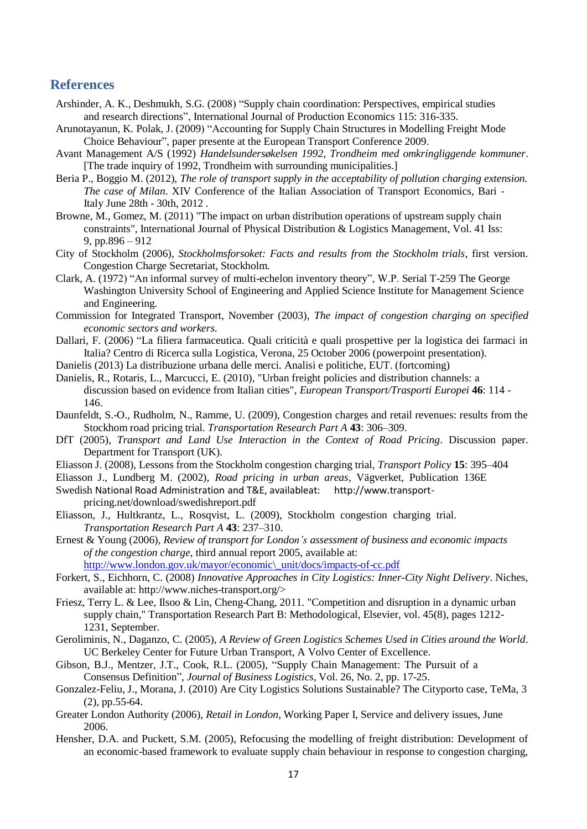### **References**

- Arshinder, A. K., Deshmukh, S.G. (2008) "Supply chain coordination: Perspectives, empirical studies and research directions", International Journal of Production Economics 115: 316-335.
- Arunotayanun, K. Polak, J. (2009) "Accounting for Supply Chain Structures in Modelling Freight Mode Choice Behaviour", paper presente at the European Transport Conference 2009.
- Avant Management A/S (1992) *Handelsundersøkelsen 1992, Trondheim med omkringliggende kommuner*. [The trade inquiry of 1992, Trondheim with surrounding municipalities.]
- Beria P., Boggio M. (2012), *The role of transport supply in the acceptability of pollution charging extension. The case of Milan*. XIV Conference of the Italian Association of Transport Economics, Bari - Italy June 28th - 30th, 2012 .
- Browne, M., Gomez, M. (2011) "The impact on urban distribution operations of upstream supply chain constraints", International Journal of Physical Distribution & Logistics Management, Vol. 41 Iss: 9, pp.896 – 912

City of Stockholm (2006), *Stockholmsforsoket: Facts and results from the Stockholm trials*, first version. Congestion Charge Secretariat, Stockholm.

- Clark, A. (1972) "An informal survey of multi-echelon inventory theory", W.P. Serial T-259 The George Washington University School of Engineering and Applied Science Institute for Management Science and Engineering.
- Commission for Integrated Transport, November (2003), *The impact of congestion charging on specified economic sectors and workers.*
- Dallari, F. (2006) "La filiera farmaceutica. Quali criticità e quali prospettive per la logistica dei farmaci in Italia? Centro di Ricerca sulla Logistica, Verona, 25 October 2006 (powerpoint presentation).
- Danielis (2013) La distribuzione urbana delle merci. Analisi e politiche, EUT. (fortcoming)
- Danielis, R., Rotaris, L., Marcucci, E. (2010), "Urban freight policies and distribution channels: a discussion based on evidence from Italian cities", *European Transport/Trasporti Europei* **46**: 114 - 146.
- Daunfeldt, S.-O., Rudholm, N., Ramme, U. (2009), Congestion charges and retail revenues: results from the Stockhom road pricing trial. *Transportation Research Part A* **43**: 306–309.
- DfT (2005), *Transport and Land Use Interaction in the Context of Road Pricing*. Discussion paper. Department for Transport (UK).
- Eliasson J. (2008), Lessons from the Stockholm congestion charging trial, *Transport Policy* **15**: 395–404
- Eliasson J., Lundberg M. (2002), *Road pricing in urban areas*, Vägverket, Publication 136E
- Swedish National Road Administration and T&E, availableat: http://www.transportpricing.net/download/swedishreport.pdf
- Eliasson, J., Hultkrantz, L., Rosqvist, L. (2009), Stockholm congestion charging trial. *Transportation Research Part A* **43**: 237–310.
- Ernest & Young (2006), *Review of transport for London's assessment of business and economic impacts of the congestion charge*, third annual report 2005, available at: [http://www.london.gov.uk/mayor/economic\\\_unit/docs/impacts-of-cc.pdf](http://www.london.gov.uk/mayor/economic/_unit/docs/impacts-of-cc.pdf)
- Forkert, S., Eichhorn, C. (2008) *Innovative Approaches in City Logistics: Inner-City Night Delivery*. Niches, available at: [http://www.niches-transport.org/>](http://www.niches-transport.org/)
- Friesz, Terry L. & Lee, Ilsoo & Lin, Cheng-Chang, 2011. "Competition and disruption in a dynamic urban supply chain," Transportation Research Part B: Methodological, Elsevier, vol. 45(8), pages 1212- 1231, September.
- Geroliminis, N., Daganzo, C. (2005), *A Review of Green Logistics Schemes Used in Cities around the World*. UC Berkeley Center for Future Urban Transport, A Volvo Center of Excellence.
- Gibson, B.J., Mentzer, J.T., Cook, R.L. (2005), "Supply Chain Management: The Pursuit of a Consensus Definition", *Journal of Business Logistics*, Vol. 26, No. 2, pp. 17-25.
- Gonzalez-Feliu, J., Morana, J. (2010) Are City Logistics Solutions Sustainable? The Cityporto case, TeMa, 3 (2), pp.55-64.
- Greater London Authority (2006), *Retail in London,* Working Paper I, Service and delivery issues, June 2006.
- Hensher, D.A. and Puckett, S.M. (2005), Refocusing the modelling of freight distribution: Development of an economic-based framework to evaluate supply chain behaviour in response to congestion charging,